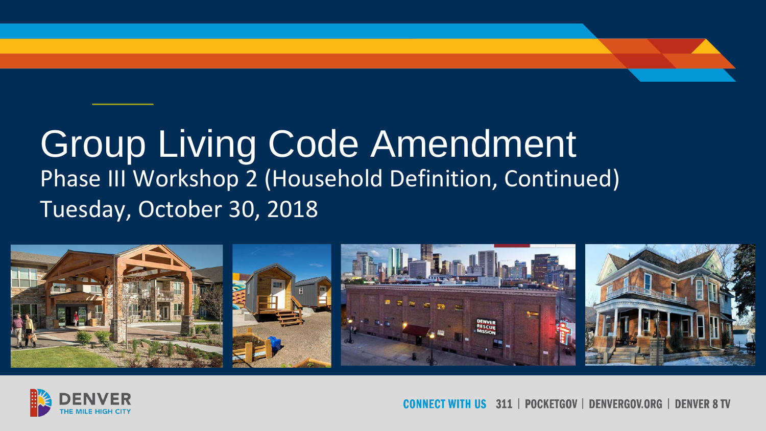### Group Living Code Amendment Phase III Workshop 2 (Household Definition, Continued) Tuesday, October 30, 2018





311 | POCKETGOV | DENVERGOV.ORG | DENVER 8 TV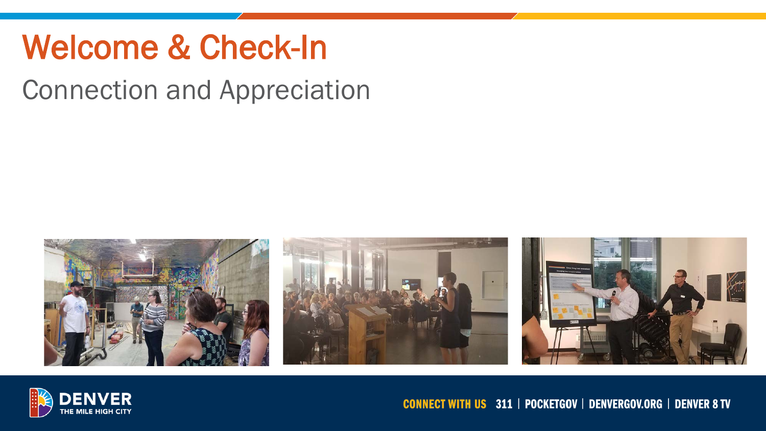## Welcome & Check-In

Connection and Appreciation





### **CONNECT WITH US 311 | POCKETGOV | DENVERGOV.ORG | DENVER 8 TV**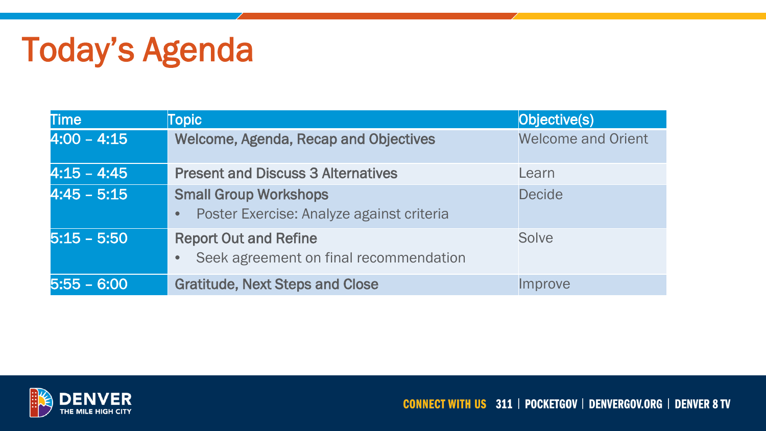## Today's Agenda

| <b>Time</b>   | <b>Topic</b>                                                                           | Objective(s)              |
|---------------|----------------------------------------------------------------------------------------|---------------------------|
| $4:00 - 4:15$ | <b>Welcome, Agenda, Recap and Objectives</b>                                           | <b>Welcome and Orient</b> |
| $4:15 - 4:45$ | <b>Present and Discuss 3 Alternatives</b>                                              | Learn                     |
| $4:45 - 5:15$ | <b>Small Group Workshops</b><br>Poster Exercise: Analyze against criteria<br>$\bullet$ | <b>Decide</b>             |
| $5:15 - 5:50$ | <b>Report Out and Refine</b><br>Seek agreement on final recommendation<br>$\bullet$    | Solve                     |
| $5:55 - 6:00$ | <b>Gratitude, Next Steps and Close</b>                                                 | Improve                   |

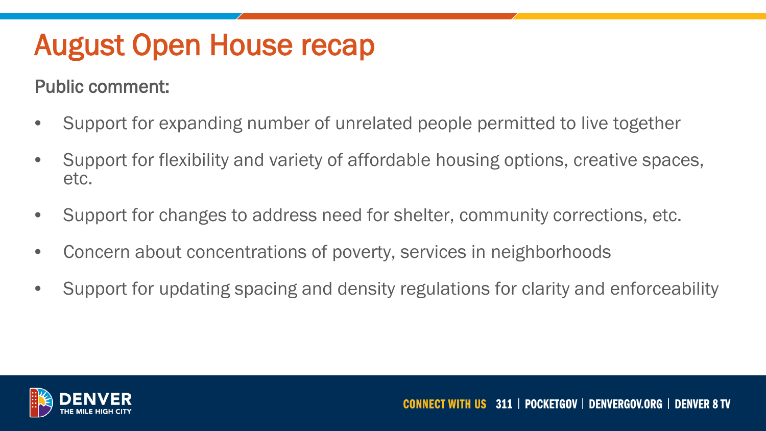### August Open House recap

### Public comment:

- Support for expanding number of unrelated people permitted to live together
- Support for flexibility and variety of affordable housing options, creative spaces, etc.
- Support for changes to address need for shelter, community corrections, etc.
- Concern about concentrations of poverty, services in neighborhoods
- Support for updating spacing and density regulations for clarity and enforceability

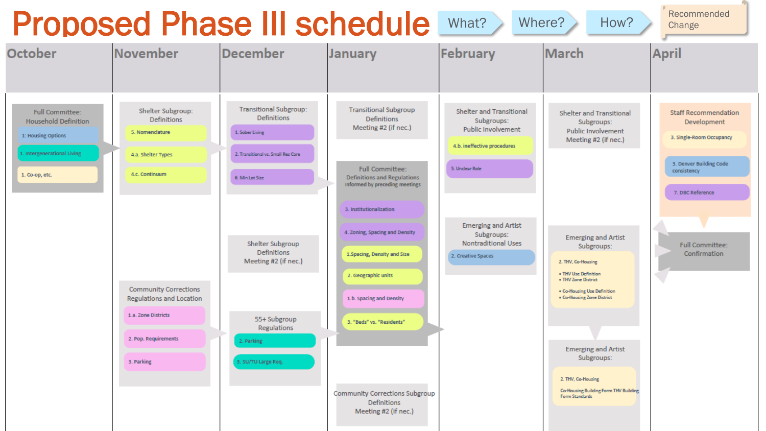## Proposed Phase III schedule What? Where? How?



Recommended

**Change**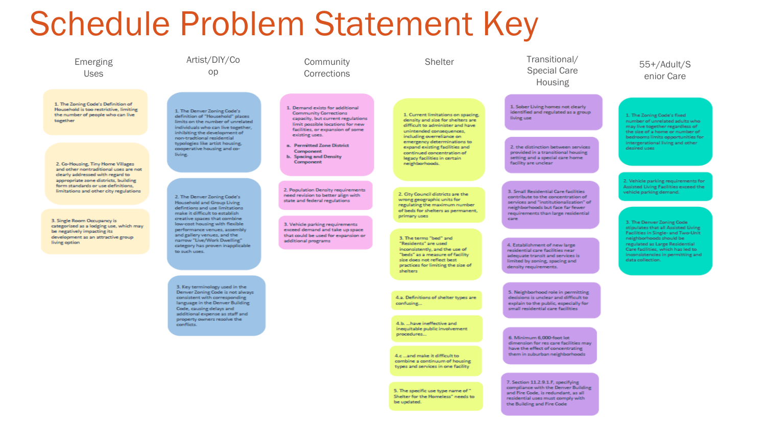## Schedule Problem Statement Key



be updated.

residential uses must comply with the Building and Fire Code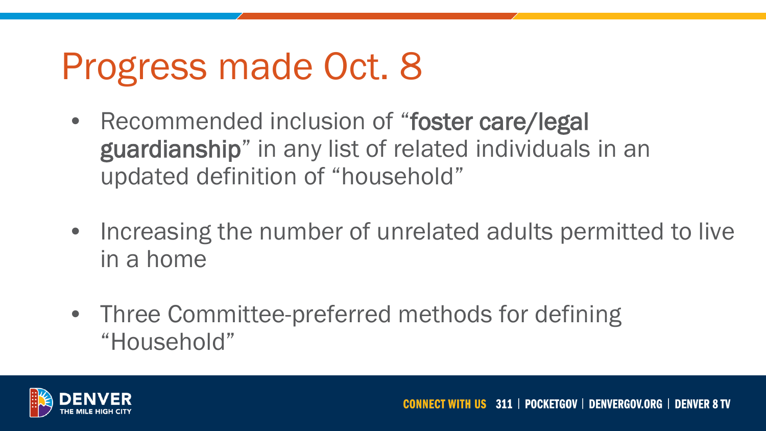# Progress made Oct. 8

- Recommended inclusion of "foster care/legal guardianship" in any list of related individuals in an updated definition of "household"
- Increasing the number of unrelated adults permitted to live in a home
- Three Committee-preferred methods for defining "Household"

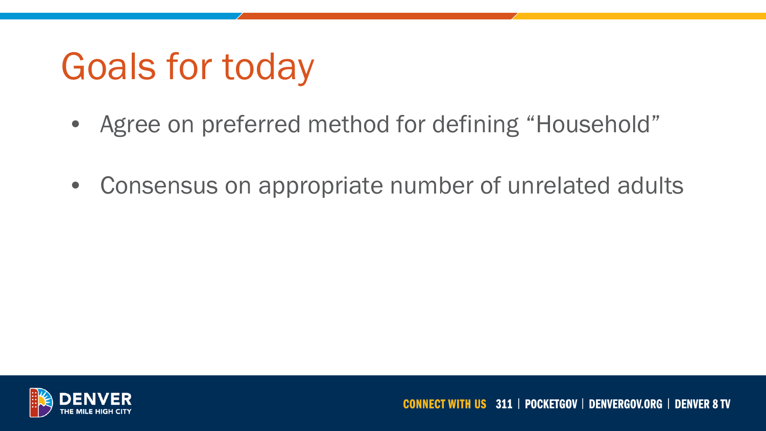# Goals for today

- Agree on preferred method for defining "Household"
- Consensus on appropriate number of unrelated adults

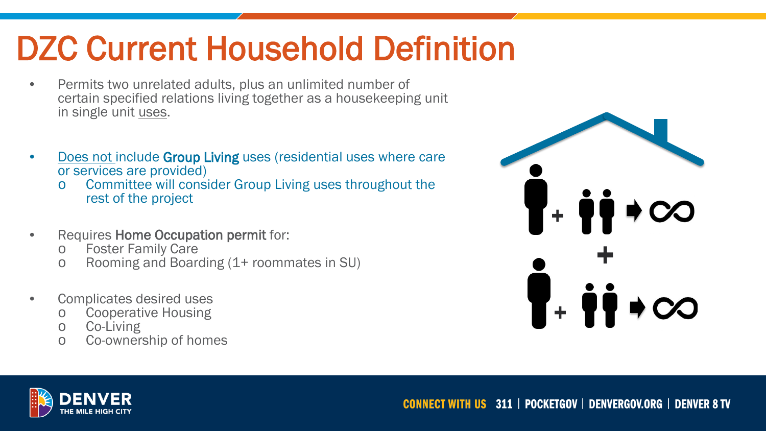## DZC Current Household Definition

- Permits two unrelated adults, plus an unlimited number of certain specified relations living together as a housekeeping unit in single unit uses.
- **Does not include Group Living uses (residential uses where care** or services are provided)
	- o Committee will consider Group Living uses throughout the rest of the project
- Requires Home Occupation permit for:
	- o Foster Family Care<br>
	o Rooming and Board
	- Rooming and Boarding (1+ roommates in SU)
- Complicates desired uses
	- o Cooperative Housing<br>o Co-Living
	- Co-Living
	- o Co-ownership of homes



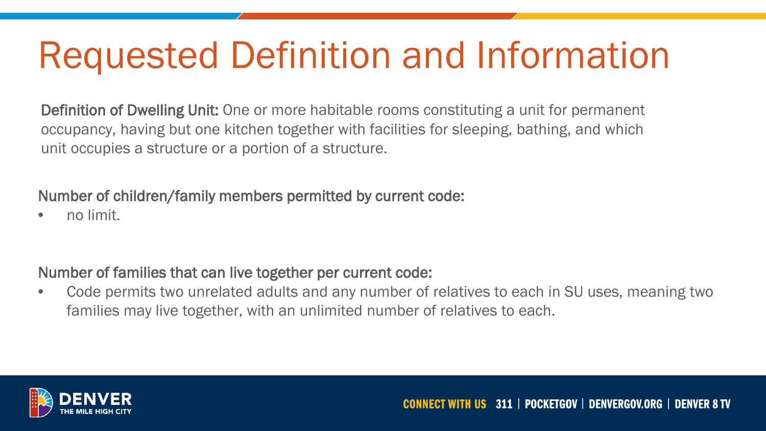# Requested Definition and Information

Definition of Dwelling Unit: One or more habitable rooms constituting a unit for permanent occupancy, having but one kitchen together with facilities for sleeping, bathing, and which unit occupies a structure or a portion of a structure.

Number of children/family members permitted by current code:

• no limit.

### Number of families that can live together per current code:

• Code permits two unrelated adults and any number of relatives to each in SU uses, meaning two families may live together, with an unlimited number of relatives to each.

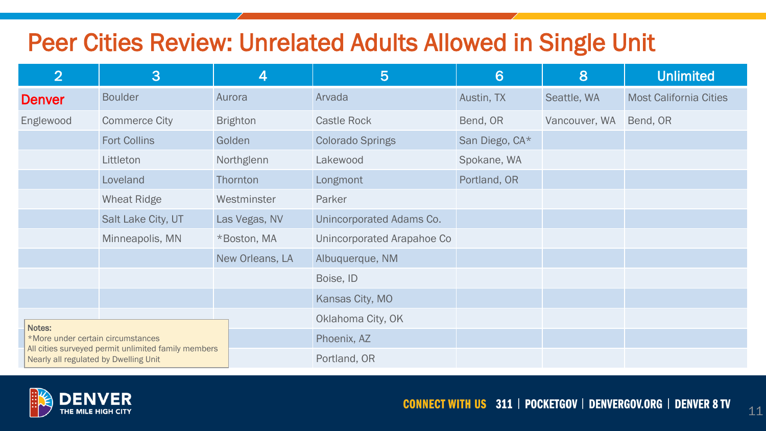### Peer Cities Review: Unrelated Adults Allowed in Single Unit

| 2                                                                                                                                 | 3                    | 4               | $5\overline{)}$            | 6              | 8             | <b>Unlimited</b>              |
|-----------------------------------------------------------------------------------------------------------------------------------|----------------------|-----------------|----------------------------|----------------|---------------|-------------------------------|
| <b>Denver</b>                                                                                                                     | <b>Boulder</b>       | Aurora          | Arvada                     | Austin, TX     | Seattle, WA   | <b>Most California Cities</b> |
| Englewood                                                                                                                         | <b>Commerce City</b> | <b>Brighton</b> | <b>Castle Rock</b>         | Bend, OR       | Vancouver, WA | Bend, OR                      |
|                                                                                                                                   | <b>Fort Collins</b>  | Golden          | <b>Colorado Springs</b>    | San Diego, CA* |               |                               |
|                                                                                                                                   | Littleton            | Northglenn      | Lakewood                   | Spokane, WA    |               |                               |
|                                                                                                                                   | Loveland             | Thornton        | Longmont                   | Portland, OR   |               |                               |
|                                                                                                                                   | <b>Wheat Ridge</b>   | Westminster     | Parker                     |                |               |                               |
|                                                                                                                                   | Salt Lake City, UT   | Las Vegas, NV   | Unincorporated Adams Co.   |                |               |                               |
|                                                                                                                                   | Minneapolis, MN      | *Boston, MA     | Unincorporated Arapahoe Co |                |               |                               |
|                                                                                                                                   |                      | New Orleans, LA | Albuquerque, NM            |                |               |                               |
|                                                                                                                                   |                      |                 | Boise, ID                  |                |               |                               |
|                                                                                                                                   |                      |                 | Kansas City, MO            |                |               |                               |
| Notes:                                                                                                                            |                      |                 | Oklahoma City, OK          |                |               |                               |
| *More under certain circumstances<br>All cities surveyed permit unlimited family members<br>Nearly all regulated by Dwelling Unit |                      |                 | Phoenix, AZ                |                |               |                               |
|                                                                                                                                   |                      |                 | Portland, OR               |                |               |                               |



11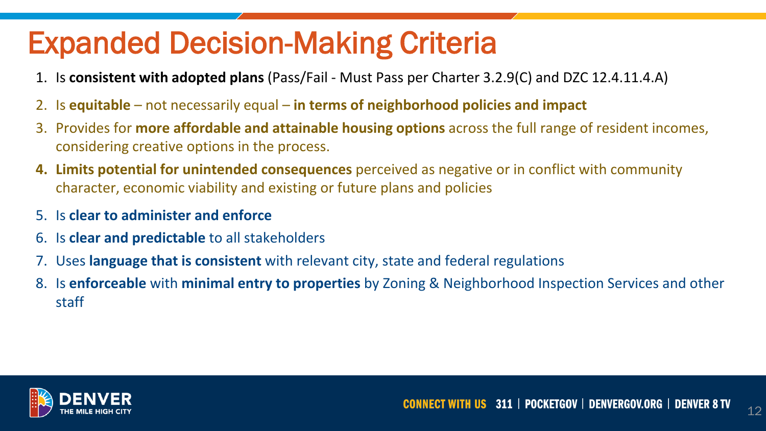### Expanded Decision-Making Criteria

- 1. Is **consistent with adopted plans** (Pass/Fail Must Pass per Charter 3.2.9(C) and DZC 12.4.11.4.A)
- 2. Is **equitable**  not necessarily equal **in terms of neighborhood policies and impact**
- 3. Provides for **more affordable and attainable housing options** across the full range of resident incomes, considering creative options in the process.
- **4. Limits potential for unintended consequences** perceived as negative or in conflict with community character, economic viability and existing or future plans and policies
- 5. Is **clear to administer and enforce**
- 6. Is **clear and predictable** to all stakeholders
- 7. Uses **language that is consistent** with relevant city, state and federal regulations
- 8. Is **enforceable** with **minimal entry to properties** by Zoning & Neighborhood Inspection Services and other staff



12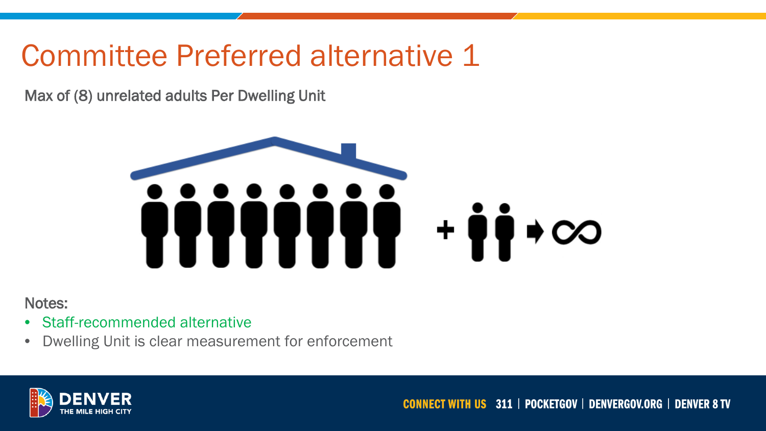### Committee Preferred alternative 1

Max of (8) unrelated adults Per Dwelling Unit



Notes:

- Staff-recommended alternative
- Dwelling Unit is clear measurement for enforcement



**CONNECT WITH US 311 | POCKETGOV | DENVERGOV.ORG | DENVER 8 TV**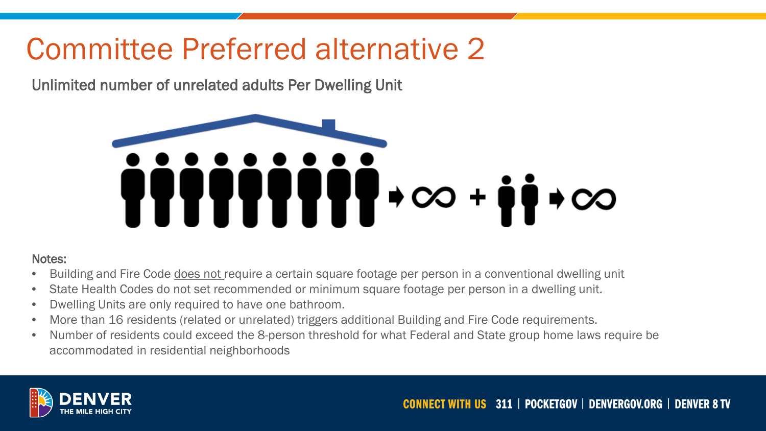### Committee Preferred alternative 2

Unlimited number of unrelated adults Per Dwelling Unit



#### Notes:

- Building and Fire Code does not require a certain square footage per person in a conventional dwelling unit
- State Health Codes do not set recommended or minimum square footage per person in a dwelling unit.
- Dwelling Units are only required to have one bathroom.
- More than 16 residents (related or unrelated) triggers additional Building and Fire Code requirements.
- Number of residents could exceed the 8-person threshold for what Federal and State group home laws require be accommodated in residential neighborhoods

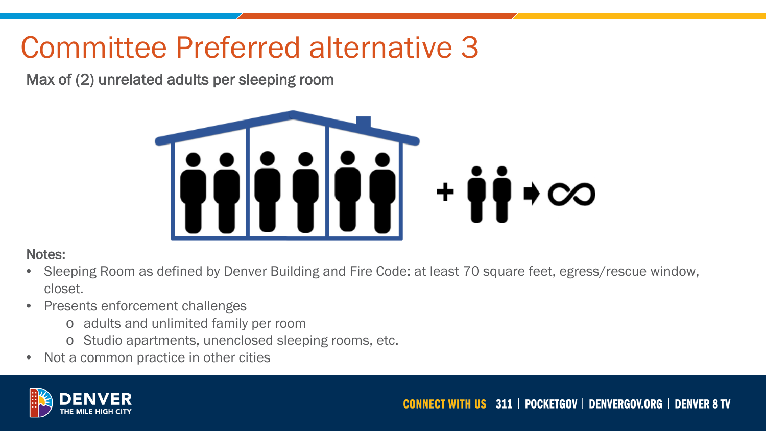### Committee Preferred alternative 3

Max of (2) unrelated adults per sleeping room



### Notes:

- Sleeping Room as defined by Denver Building and Fire Code: at least 70 square feet, egress/rescue window, closet.
- Presents enforcement challenges
	- o adults and unlimited family per room
	- o Studio apartments, unenclosed sleeping rooms, etc.
- Not a common practice in other cities

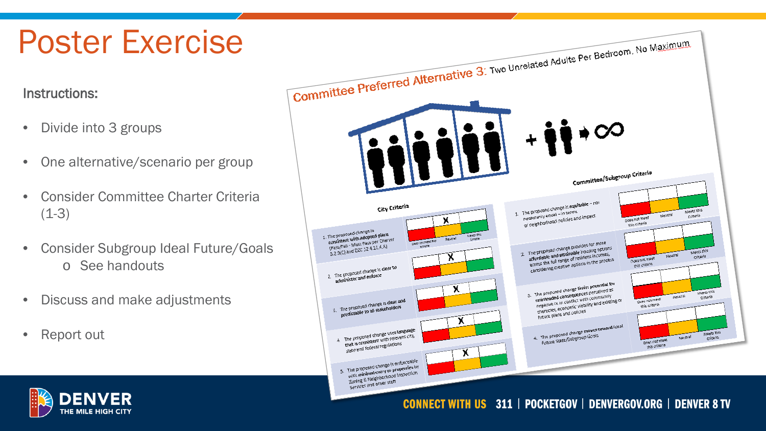## Poster Exercise

### Instructions:

- Divide into 3 groups
- One alternative/scenario per group
- Consider Committee Charter Criteria  $(1-3)$
- Consider Subgroup Ideal Future/Goals o See handouts
- Discuss and make adjustments
- Report out



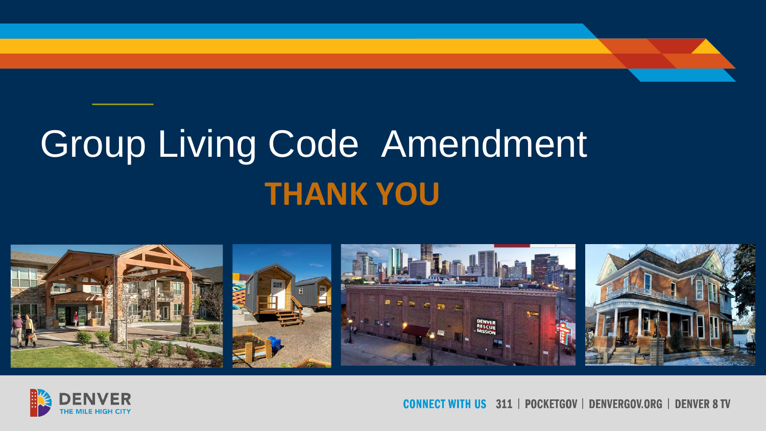# **THANK YOU** Group Living Code Amendment





NNECT WITH US 311 | POCKETGOV | DENVERGOV.ORG | DENVER 8 TV **COI**